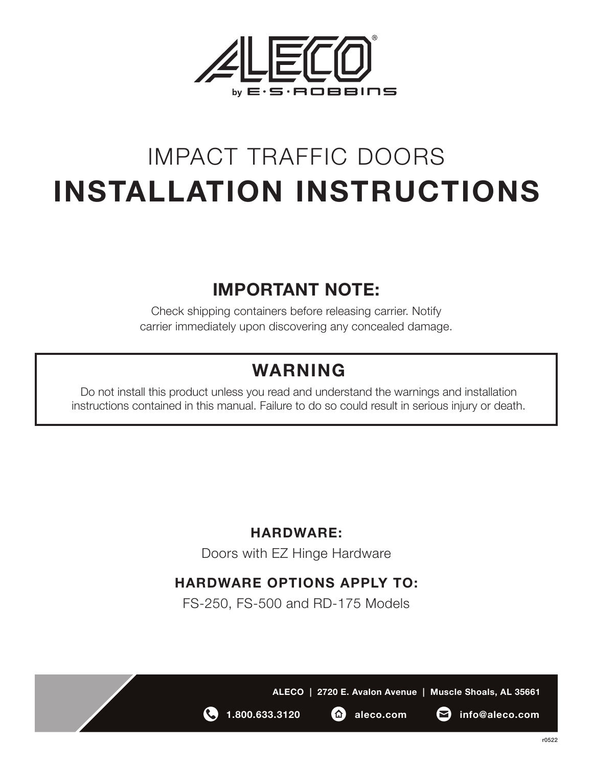

## IMPACT TRAFFIC DOORS **INSTALLATION INSTRUCTIONS**

### **IMPORTANT NOTE:**

Check shipping containers before releasing carrier. Notify carrier immediately upon discovering any concealed damage.

## **WARNING**

Do not install this product unless you read and understand the warnings and installation instructions contained in this manual. Failure to do so could result in serious injury or death.

#### **HARDWARE:**

Doors with EZ Hinge Hardware

#### **HARDWARE OPTIONS APPLY TO:**

FS-250, FS-500 and RD-175 Models





**1.800.633.3120 aleco.com info@aleco.com**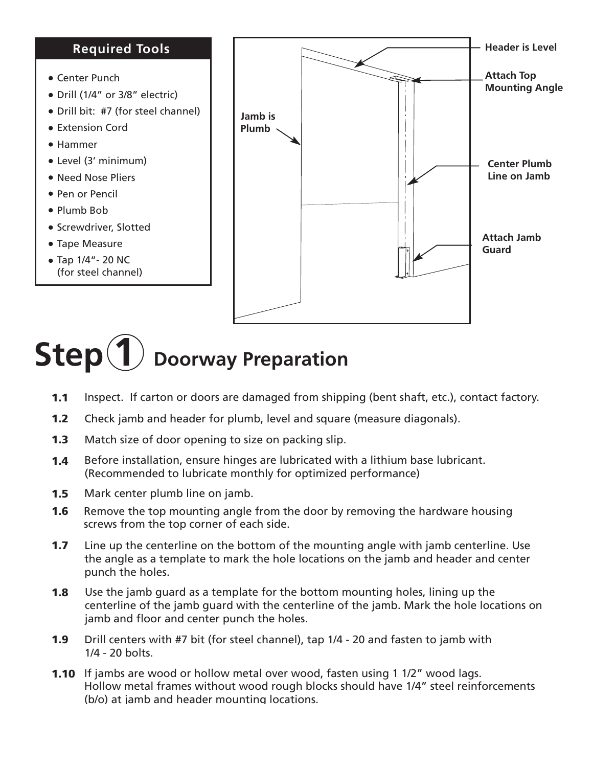#### **Required Tools**

- Center Punch
- Drill (1/4" or 3/8" electric)
- Drill bit: #7 (for steel channel)
- Extension Cord
- Hammer
- Level (3' minimum)
- Need Nose Pliers
- Pen or Pencil
- Plumb Bob
- Screwdriver, Slotted
- Tape Measure
- $\bullet$  Tap 1/4" 20 NC (for steel channel)



# **Step(1)** Doorway Preparation

- **1.1** Inspect. If carton or doors are damaged from shipping (bent shaft, etc.), contact factory.
- **1.2** Check jamb and header for plumb, level and square (measure diagonals).
- **1.3** Match size of door opening to size on packing slip.
- Before installation, ensure hinges are lubricated with a lithium base lubricant. (Recommended to lubricate monthly for optimized performance) **1.4**
- **1.5** Mark center plumb line on jamb.
- **1.6** Remove the top mounting angle from the door by removing the hardware housing screws from the top corner of each side.
- **1.7** Line up the centerline on the bottom of the mounting angle with jamb centerline. Use the angle as a template to mark the hole locations on the jamb and header and center punch the holes.
- Use the jamb guard as a template for the bottom mounting holes, lining up the centerline of the jamb guard with the centerline of the jamb. Mark the hole locations on jamb and floor and center punch the holes. **1.8**
- Drill centers with #7 bit (for steel channel), tap 1/4 20 and fasten to jamb with  $1/4 - 20$  bolts. **1.9**
- **1.10** If jambs are wood or hollow metal over wood, fasten using 1 1/2" wood lags. Hollow metal frames without wood rough blocks should have 1/4" steel reinforcements (b/o) at jamb and header mounting locations.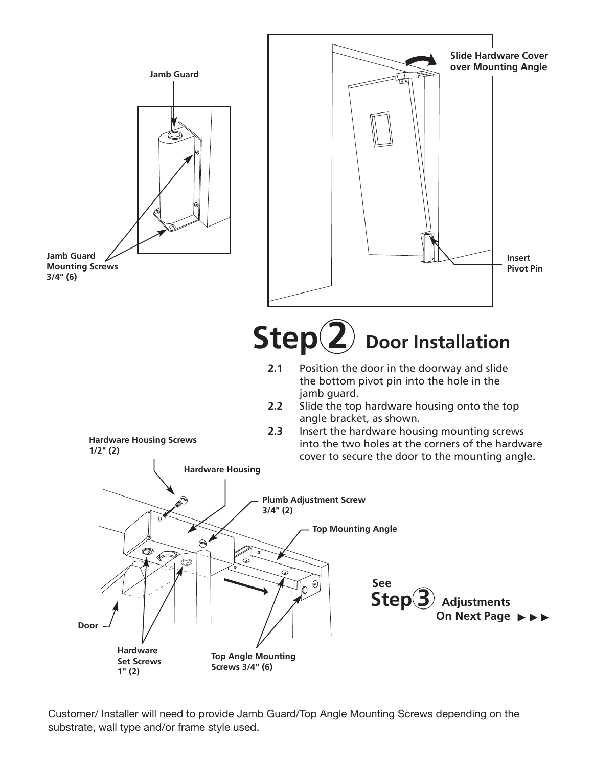

Customer/ Installer will need to provide Jamb Guard/Top Angle Mounting Screws depending on the substrate, wall type and/or frame style used.